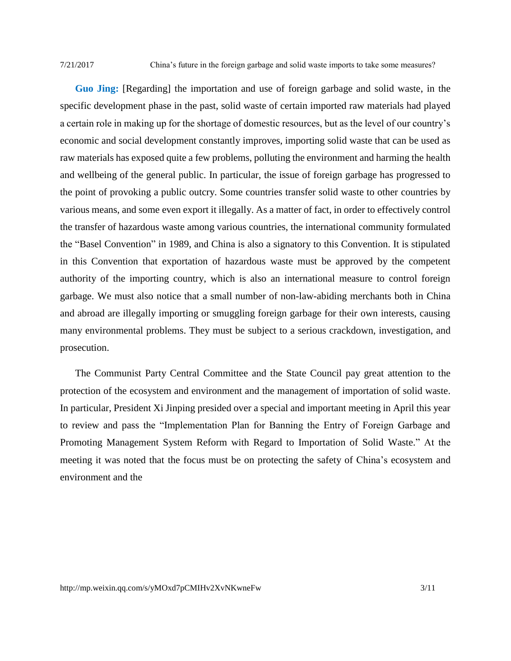7/21/2017 China's future in the foreign garbage and solid waste imports to take some measures?

**Guo Jing:** [Regarding] the importation and use of foreign garbage and solid waste, in the specific development phase in the past, solid waste of certain imported raw materials had played a certain role in making up for the shortage of domestic resources, but as the level of our country's economic and social development constantly improves, importing solid waste that can be used as raw materials has exposed quite a few problems, polluting the environment and harming the health and wellbeing of the general public. In particular, the issue of foreign garbage has progressed to the point of provoking a public outcry. Some countries transfer solid waste to other countries by various means, and some even export it illegally. As a matter of fact, in order to effectively control the transfer of hazardous waste among various countries, the international community formulated the "Basel Convention" in 1989, and China is also a signatory to this Convention. It is stipulated in this Convention that exportation of hazardous waste must be approved by the competent authority of the importing country, which is also an international measure to control foreign garbage. We must also notice that a small number of non-law-abiding merchants both in China and abroad are illegally importing or smuggling foreign garbage for their own interests, causing many environmental problems. They must be subject to a serious crackdown, investigation, and prosecution.

The Communist Party Central Committee and the State Council pay great attention to the protection of the ecosystem and environment and the management of importation of solid waste. In particular, President Xi Jinping presided over a special and important meeting in April this year to review and pass the "Implementation Plan for Banning the Entry of Foreign Garbage and Promoting Management System Reform with Regard to Importation of Solid Waste." At the meeting it was noted that the focus must be on protecting the safety of China's ecosystem and environment and the